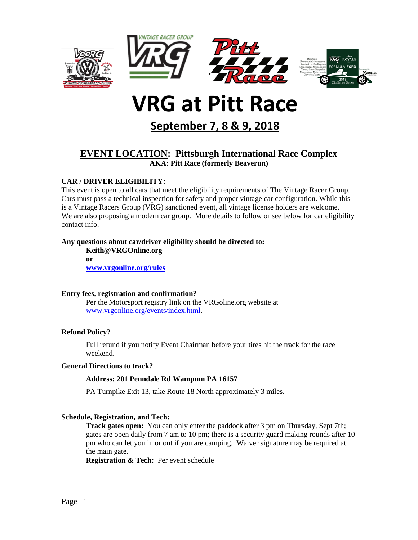

# **VRG at Pitt Race**

**September 7, 8 & 9, 2018**

# **EVENT LOCATION: Pittsburgh International Race Complex AKA: Pitt Race (formerly Beaverun)**

## **CAR / DRIVER ELIGIBILITY:**

This event is open to all cars that meet the eligibility requirements of The Vintage Racer Group. Cars must pass a technical inspection for safety and proper vintage car configuration. While this is a Vintage Racers Group (VRG) sanctioned event, all vintage license holders are welcome. We are also proposing a modern car group. More details to follow or see below for car eligibility contact info.

#### **Any questions about car/driver eligibility should be directed to:**

**Keith@VRGOnline.org or [www.vrgonline.org/rules](http://www.vrgonline.org/rules)**

#### **Entry fees, registration and confirmation?**

Per the Motorsport registry link on the VRGoline.org website at [www.vrgonline.org/events/index.html.](http://www.vrgonline.org/events/index.html)

## **Refund Policy?**

Full refund if you notify Event Chairman before your tires hit the track for the race weekend.

#### **General Directions to track?**

## **Address: 201 Penndale Rd Wampum PA 16157**

PA Turnpike Exit 13, take Route 18 North approximately 3 miles.

#### **Schedule, Registration, and Tech:**

**Track gates open:** You can only enter the paddock after 3 pm on Thursday, Sept 7th; gates are open daily from 7 am to 10 pm; there is a security guard making rounds after 10 pm who can let you in or out if you are camping. Waiver signature may be required at the main gate.

**Registration & Tech:** Per event schedule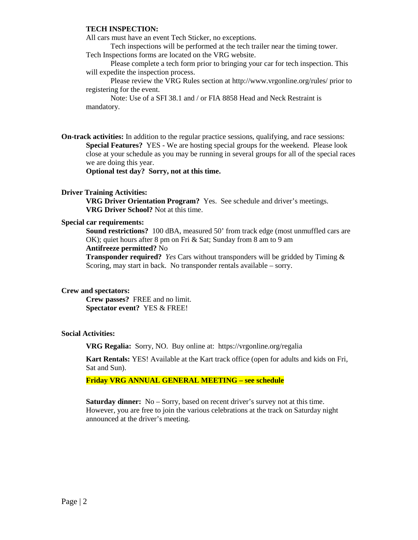#### **TECH INSPECTION:**

All cars must have an event Tech Sticker, no exceptions.

Tech inspections will be performed at the tech trailer near the timing tower. Tech Inspections forms are located on the VRG website.

Please complete a tech form prior to bringing your car for tech inspection. This will expedite the inspection process.

Please review the VRG Rules section at http://www.vrgonline.org/rules/ prior to registering for the event.

Note: Use of a SFI 38.1 and / or FIA 8858 Head and Neck Restraint is mandatory.

**On-track activities:** In addition to the regular practice sessions, qualifying, and race sessions: **Special Features?** YES - We are hosting special groups for the weekend. Please look close at your schedule as you may be running in several groups for all of the special races we are doing this year.

**Optional test day? Sorry, not at this time.**

#### **Driver Training Activities:**

**VRG Driver Orientation Program?** Yes. See schedule and driver's meetings. **VRG Driver School?** Not at this time.

#### **Special car requirements:**

**Sound restrictions?** 100 dBA, measured 50' from track edge (most unmuffled cars are OK); quiet hours after 8 pm on Fri & Sat; Sunday from 8 am to 9 am

#### **Antifreeze permitted?** No

**Transponder required?** *Yes* Cars without transponders will be gridded by Timing & Scoring, may start in back. No transponder rentals available – sorry.

#### **Crew and spectators:**

**Crew passes?** FREE and no limit. **Spectator event?** YES & FREE!

#### **Social Activities:**

**VRG Regalia:** Sorry, NO. Buy online at: https://vrgonline.org/regalia

**Kart Rentals:** YES! Available at the Kart track office (open for adults and kids on Fri, Sat and Sun).

**Friday VRG ANNUAL GENERAL MEETING – see schedule**

**Saturday dinner:** No – Sorry, based on recent driver's survey not at this time. However, you are free to join the various celebrations at the track on Saturday night announced at the driver's meeting.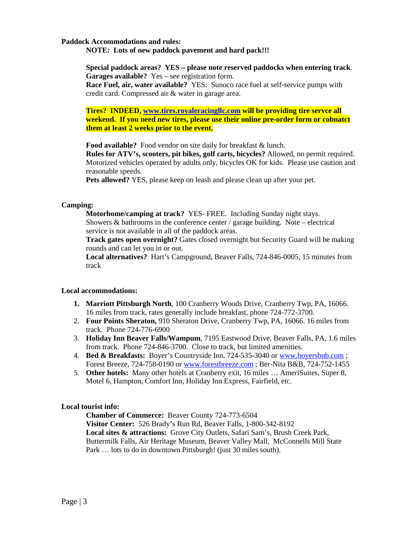#### **Paddock Accommodations and rules:**

**NOTE: Lots of new paddock pavement and hard pack!!!**

**Special paddock areas? YES – please note reserved paddocks when entering track**. **Garages available?**Yes – see registration form. **Race Fuel, air, water available?**YES: Sunoco race fuel at self-service pumps with credit card. Compressed air & water in garage area.

**Tires? INDEED, [www.tires.royaleracingllc.com](http://www.tires.royaleracingllc.com/) will be providing tire servce all weekend. If you need new tires, please use their online pre-order form or cobnatct them at least 2 weeks prior to the event.**

**Food available?**Food vendor on site daily for breakfast & lunch.

**Rules for ATV's, scooters, pit bikes, golf carts, bicycles?** Allowed, no permit required. Motorized vehicles operated by adults only, bicycles OK for kids. Please use caution and reasonable speeds.

**Pets allowed?** YES, please keep on leash and please clean up after your pet.

#### **Camping:**

**Motorhome/camping at track?** YES- FREE. Including Sunday night stays. Showers  $\&$  bathrooms in the conference center / garage building. Note – electrical service is not available in all of the paddock areas.

**Track gates open overnight?** Gates closed overnight but Security Guard will be making rounds and can let you in or out.

**Local alternatives?**Hart's Campground, Beaver Falls, 724-846-0005, 15 minutes from track

#### **Local accommodations:**

- **1. Marriott Pittsburgh North**, 100 Cranberry Woods Drive, Cranberry Twp, PA, 16066. 16 miles from track, rates generally include breakfast, phone 724-772-3700.
- 2. **Four Points Sheraton,** 910 Sheraton Drive, Cranberry Twp, PA, 16066. 16 miles from track. Phone 724-776-6900
- 3. **Holiday Inn Beaver Falls/Wampum**, 7195 Eastwood Drive, Beaver Falls, PA, 1.6 miles from track. Phone 724-846-3700. Close to track, but limited amenities.
- 4. **Bed & Breakfasts:** Boyer's Countryside Inn, 724-535-3040 or [www.boyersbnb.com](http://www.boyersbnb.com/) ; Forest Breeze, 724-758-0190 or [www.forestbreeze.com](http://www.forestbreeze.com/) ; Ber-Nita B&B, 724-752-1455
- 5. **Other hotels:** Many other hotels at Cranberry exit, 16 miles … AmeriSuites, Super 8, Motel 6, Hampton, Comfort Inn, Holiday Inn Express, Fairfield, etc.

#### **Local tourist info:**

**Chamber of Commerce:** Beaver County 724-773-6504 **Visitor Center:** 526 Brady's Run Rd, Beaver Falls, 1-800-342-8192 **Local sites & attractions:** Grove City Outlets, Safari Sam's, Brush Creek Park, Buttermilk Falls, Air Heritage Museum, Beaver Valley Mall, McConnells Mill State Park … lots to do in downtown Pittsburgh! (just 30 miles south).